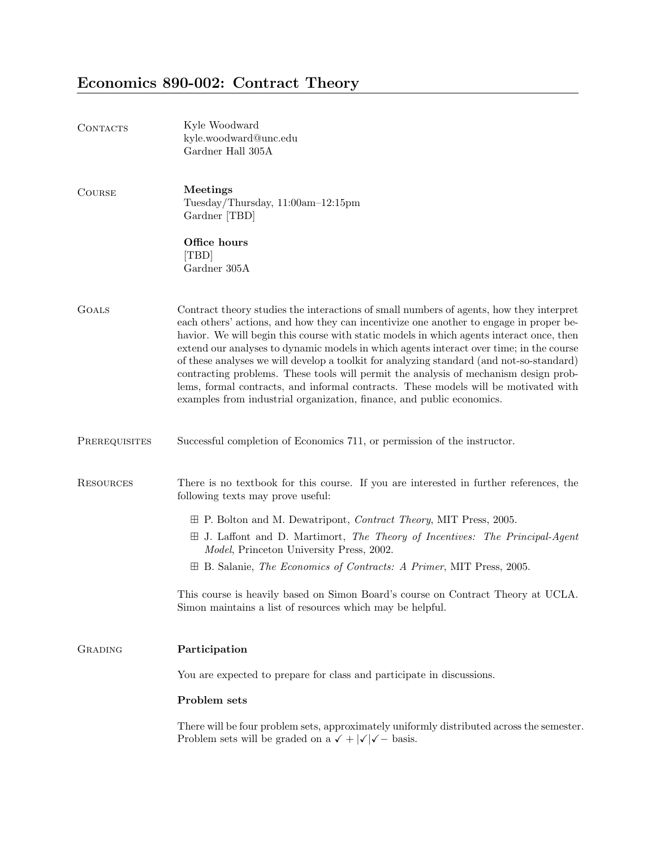# Economics 890-002: Contract Theory

| CONTACTS         | Kyle Woodward<br>kyle.woodward@unc.edu<br>Gardner Hall 305A                                                                                                                                                                                                                                                                                                                                                                                                                                                                                                                                                                                                                                                                  |
|------------------|------------------------------------------------------------------------------------------------------------------------------------------------------------------------------------------------------------------------------------------------------------------------------------------------------------------------------------------------------------------------------------------------------------------------------------------------------------------------------------------------------------------------------------------------------------------------------------------------------------------------------------------------------------------------------------------------------------------------------|
| <b>COURSE</b>    | Meetings<br>Tuesday/Thursday, 11:00am-12:15pm<br>Gardner [TBD]                                                                                                                                                                                                                                                                                                                                                                                                                                                                                                                                                                                                                                                               |
|                  | Office hours<br>[TBD]<br>Gardner 305A                                                                                                                                                                                                                                                                                                                                                                                                                                                                                                                                                                                                                                                                                        |
| <b>GOALS</b>     | Contract theory studies the interactions of small numbers of agents, how they interpret<br>each others' actions, and how they can incentivize one another to engage in proper be-<br>havior. We will begin this course with static models in which agents interact once, then<br>extend our analyses to dynamic models in which agents interact over time; in the course<br>of these analyses we will develop a toolkit for analyzing standard (and not-so-standard)<br>contracting problems. These tools will permit the analysis of mechanism design prob-<br>lems, formal contracts, and informal contracts. These models will be motivated with<br>examples from industrial organization, finance, and public economics. |
| PREREQUISITES    | Successful completion of Economics 711, or permission of the instructor.                                                                                                                                                                                                                                                                                                                                                                                                                                                                                                                                                                                                                                                     |
| <b>RESOURCES</b> | There is no textbook for this course. If you are interested in further references, the<br>following texts may prove useful:                                                                                                                                                                                                                                                                                                                                                                                                                                                                                                                                                                                                  |
|                  | $\boxplus$ P. Bolton and M. Dewatripont, <i>Contract Theory</i> , MIT Press, 2005.                                                                                                                                                                                                                                                                                                                                                                                                                                                                                                                                                                                                                                           |
|                  | $\boxplus$ J. Laffont and D. Martimort, The Theory of Incentives: The Principal-Agent<br><i>Model</i> , Princeton University Press, 2002.                                                                                                                                                                                                                                                                                                                                                                                                                                                                                                                                                                                    |
|                  | $\boxplus$ B. Salanie, <i>The Economics of Contracts: A Primer</i> , MIT Press, 2005.                                                                                                                                                                                                                                                                                                                                                                                                                                                                                                                                                                                                                                        |
|                  | This course is heavily based on Simon Board's course on Contract Theory at UCLA.<br>Simon maintains a list of resources which may be helpful.                                                                                                                                                                                                                                                                                                                                                                                                                                                                                                                                                                                |
| GRADING          | Participation                                                                                                                                                                                                                                                                                                                                                                                                                                                                                                                                                                                                                                                                                                                |
|                  | You are expected to prepare for class and participate in discussions.                                                                                                                                                                                                                                                                                                                                                                                                                                                                                                                                                                                                                                                        |
|                  | Problem sets                                                                                                                                                                                                                                                                                                                                                                                                                                                                                                                                                                                                                                                                                                                 |
|                  | There will be four problem sets, approximately uniformly distributed across the semester.<br>Problem sets will be graded on a $\checkmark$ + $ \checkmark $ + basis.                                                                                                                                                                                                                                                                                                                                                                                                                                                                                                                                                         |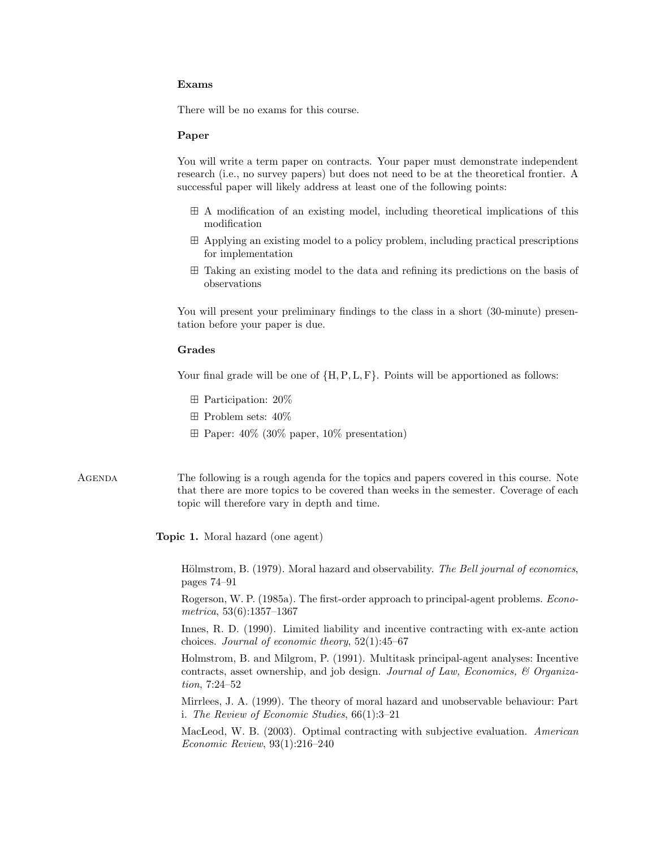#### Exams

There will be no exams for this course.

## Paper

You will write a term paper on contracts. Your paper must demonstrate independent research (i.e., no survey papers) but does not need to be at the theoretical frontier. A successful paper will likely address at least one of the following points:

- A modification of an existing model, including theoretical implications of this modification
- Applying an existing model to a policy problem, including practical prescriptions for implementation
- Taking an existing model to the data and refining its predictions on the basis of observations

You will present your preliminary findings to the class in a short (30-minute) presentation before your paper is due.

# Grades

Your final grade will be one of  $\{H, P, L, F\}$ . Points will be apportioned as follows:

- Participation: 20%
- $\boxplus$  Problem sets:  $40\%$
- $\boxplus$  Paper: 40% (30% paper, 10% presentation)
- Agenda The following is a rough agenda for the topics and papers covered in this course. Note that there are more topics to be covered than weeks in the semester. Coverage of each topic will therefore vary in depth and time.

Topic 1. Moral hazard (one agent)

Hölmstrom, B. (1979). Moral hazard and observability. The Bell journal of economics, pages 74–91

Rogerson, W. P. (1985a). The first-order approach to principal-agent problems. Econometrica, 53(6):1357–1367

Innes, R. D. (1990). Limited liability and incentive contracting with ex-ante action choices. Journal of economic theory, 52(1):45–67

Holmstrom, B. and Milgrom, P. (1991). Multitask principal-agent analyses: Incentive contracts, asset ownership, and job design. Journal of Law, Economics, & Organization, 7:24–52

Mirrlees, J. A. (1999). The theory of moral hazard and unobservable behaviour: Part i. The Review of Economic Studies, 66(1):3–21

MacLeod, W. B. (2003). Optimal contracting with subjective evaluation. American Economic Review, 93(1):216–240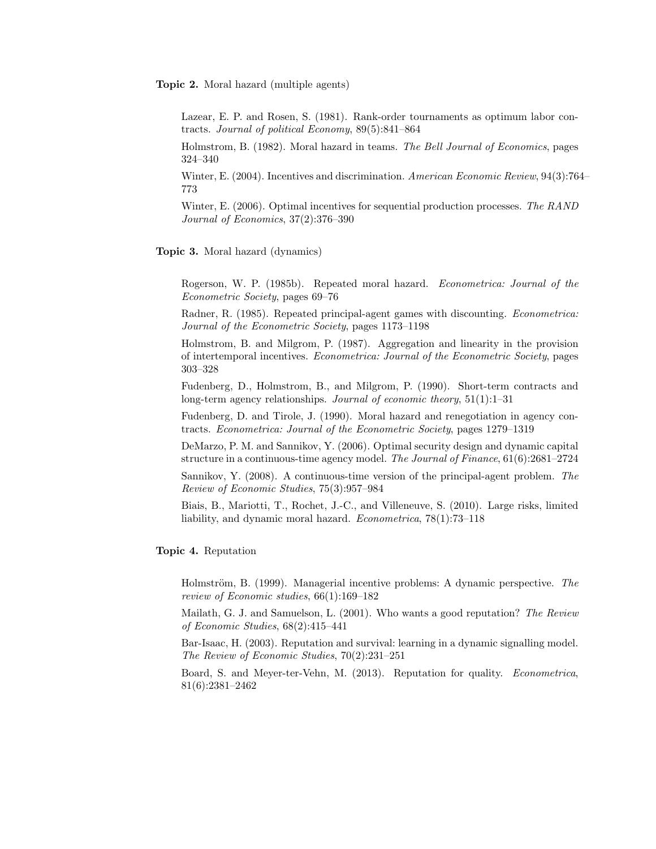Topic 2. Moral hazard (multiple agents)

Lazear, E. P. and Rosen, S. (1981). Rank-order tournaments as optimum labor contracts. Journal of political Economy, 89(5):841–864

Holmstrom, B. (1982). Moral hazard in teams. The Bell Journal of Economics, pages 324–340

Winter, E. (2004). Incentives and discrimination. American Economic Review, 94(3):764– 773

Winter, E. (2006). Optimal incentives for sequential production processes. The RAND Journal of Economics, 37(2):376–390

Topic 3. Moral hazard (dynamics)

Rogerson, W. P. (1985b). Repeated moral hazard. Econometrica: Journal of the Econometric Society, pages 69–76

Radner, R. (1985). Repeated principal-agent games with discounting. Econometrica: Journal of the Econometric Society, pages 1173–1198

Holmstrom, B. and Milgrom, P. (1987). Aggregation and linearity in the provision of intertemporal incentives. Econometrica: Journal of the Econometric Society, pages 303–328

Fudenberg, D., Holmstrom, B., and Milgrom, P. (1990). Short-term contracts and long-term agency relationships. *Journal of economic theory*, 51(1):1–31

Fudenberg, D. and Tirole, J. (1990). Moral hazard and renegotiation in agency contracts. Econometrica: Journal of the Econometric Society, pages 1279–1319

DeMarzo, P. M. and Sannikov, Y. (2006). Optimal security design and dynamic capital structure in a continuous-time agency model. The Journal of Finance, 61(6):2681–2724

Sannikov, Y. (2008). A continuous-time version of the principal-agent problem. The Review of Economic Studies, 75(3):957–984

Biais, B., Mariotti, T., Rochet, J.-C., and Villeneuve, S. (2010). Large risks, limited liability, and dynamic moral hazard. Econometrica, 78(1):73–118

#### Topic 4. Reputation

Holmström, B. (1999). Managerial incentive problems: A dynamic perspective. The review of Economic studies, 66(1):169–182

Mailath, G. J. and Samuelson, L. (2001). Who wants a good reputation? The Review of Economic Studies, 68(2):415–441

Bar-Isaac, H. (2003). Reputation and survival: learning in a dynamic signalling model. The Review of Economic Studies, 70(2):231–251

Board, S. and Meyer-ter-Vehn, M. (2013). Reputation for quality. Econometrica, 81(6):2381–2462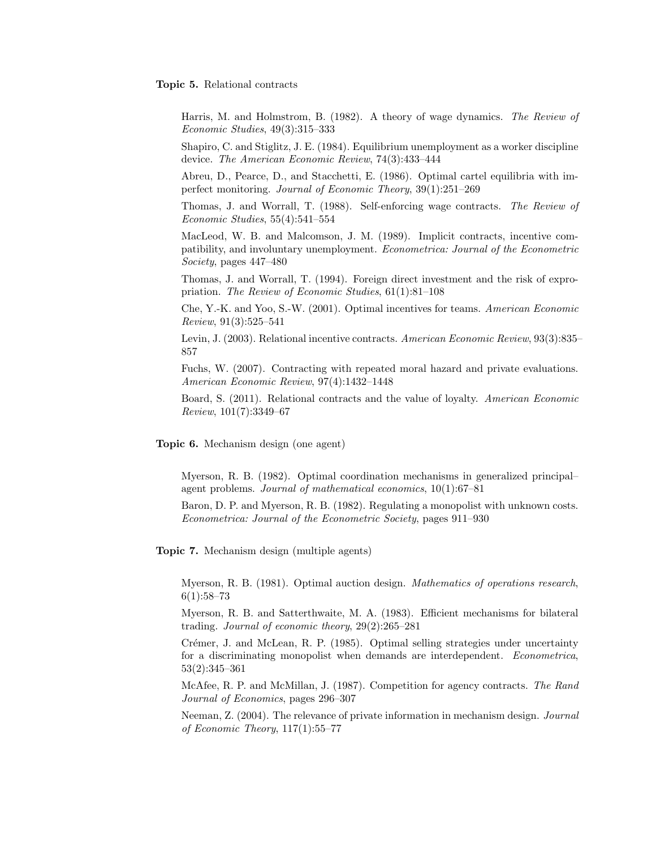#### Topic 5. Relational contracts

Harris, M. and Holmstrom, B. (1982). A theory of wage dynamics. The Review of Economic Studies, 49(3):315–333

Shapiro, C. and Stiglitz, J. E. (1984). Equilibrium unemployment as a worker discipline device. The American Economic Review, 74(3):433–444

Abreu, D., Pearce, D., and Stacchetti, E. (1986). Optimal cartel equilibria with imperfect monitoring. Journal of Economic Theory, 39(1):251–269

Thomas, J. and Worrall, T. (1988). Self-enforcing wage contracts. The Review of Economic Studies, 55(4):541–554

MacLeod, W. B. and Malcomson, J. M. (1989). Implicit contracts, incentive compatibility, and involuntary unemployment. Econometrica: Journal of the Econometric Society, pages 447–480

Thomas, J. and Worrall, T. (1994). Foreign direct investment and the risk of expropriation. The Review of Economic Studies, 61(1):81–108

Che, Y.-K. and Yoo, S.-W. (2001). Optimal incentives for teams. American Economic Review, 91(3):525–541

Levin, J. (2003). Relational incentive contracts. American Economic Review, 93(3):835– 857

Fuchs, W. (2007). Contracting with repeated moral hazard and private evaluations. American Economic Review, 97(4):1432–1448

Board, S. (2011). Relational contracts and the value of loyalty. American Economic Review, 101(7):3349–67

Topic 6. Mechanism design (one agent)

Myerson, R. B. (1982). Optimal coordination mechanisms in generalized principal– agent problems. Journal of mathematical economics, 10(1):67–81

Baron, D. P. and Myerson, R. B. (1982). Regulating a monopolist with unknown costs. Econometrica: Journal of the Econometric Society, pages 911–930

Topic 7. Mechanism design (multiple agents)

Myerson, R. B. (1981). Optimal auction design. Mathematics of operations research, 6(1):58–73

Myerson, R. B. and Satterthwaite, M. A. (1983). Efficient mechanisms for bilateral trading. Journal of economic theory, 29(2):265–281

Crémer, J. and McLean, R. P. (1985). Optimal selling strategies under uncertainty for a discriminating monopolist when demands are interdependent. *Econometrica*, 53(2):345–361

McAfee, R. P. and McMillan, J. (1987). Competition for agency contracts. The Rand Journal of Economics, pages 296–307

Neeman, Z. (2004). The relevance of private information in mechanism design. Journal of Economic Theory, 117(1):55–77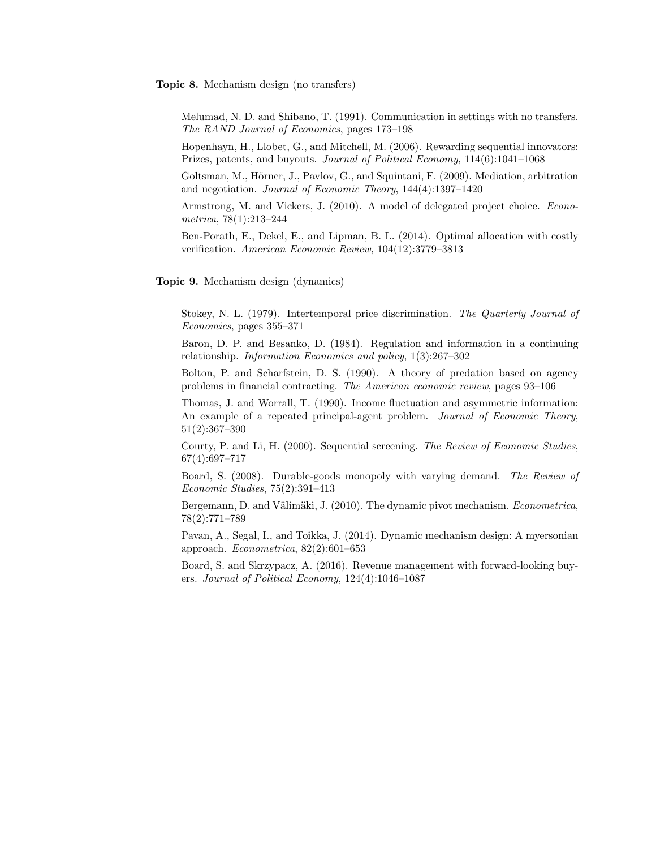Topic 8. Mechanism design (no transfers)

Melumad, N. D. and Shibano, T. (1991). Communication in settings with no transfers. The RAND Journal of Economics, pages 173–198

Hopenhayn, H., Llobet, G., and Mitchell, M. (2006). Rewarding sequential innovators: Prizes, patents, and buyouts. Journal of Political Economy, 114(6):1041–1068

Goltsman, M., Hörner, J., Pavlov, G., and Squintani, F. (2009). Mediation, arbitration and negotiation. Journal of Economic Theory, 144(4):1397–1420

Armstrong, M. and Vickers, J. (2010). A model of delegated project choice. Econometrica, 78(1):213–244

Ben-Porath, E., Dekel, E., and Lipman, B. L. (2014). Optimal allocation with costly verification. American Economic Review, 104(12):3779–3813

Topic 9. Mechanism design (dynamics)

Stokey, N. L. (1979). Intertemporal price discrimination. The Quarterly Journal of Economics, pages 355–371

Baron, D. P. and Besanko, D. (1984). Regulation and information in a continuing relationship. Information Economics and policy, 1(3):267–302

Bolton, P. and Scharfstein, D. S. (1990). A theory of predation based on agency problems in financial contracting. The American economic review, pages 93–106

Thomas, J. and Worrall, T. (1990). Income fluctuation and asymmetric information: An example of a repeated principal-agent problem. Journal of Economic Theory, 51(2):367–390

Courty, P. and Li, H. (2000). Sequential screening. The Review of Economic Studies, 67(4):697–717

Board, S. (2008). Durable-goods monopoly with varying demand. The Review of Economic Studies, 75(2):391–413

Bergemann, D. and Välimäki, J. (2010). The dynamic pivot mechanism. *Econometrica*, 78(2):771–789

Pavan, A., Segal, I., and Toikka, J. (2014). Dynamic mechanism design: A myersonian approach. Econometrica, 82(2):601–653

Board, S. and Skrzypacz, A. (2016). Revenue management with forward-looking buyers. Journal of Political Economy, 124(4):1046–1087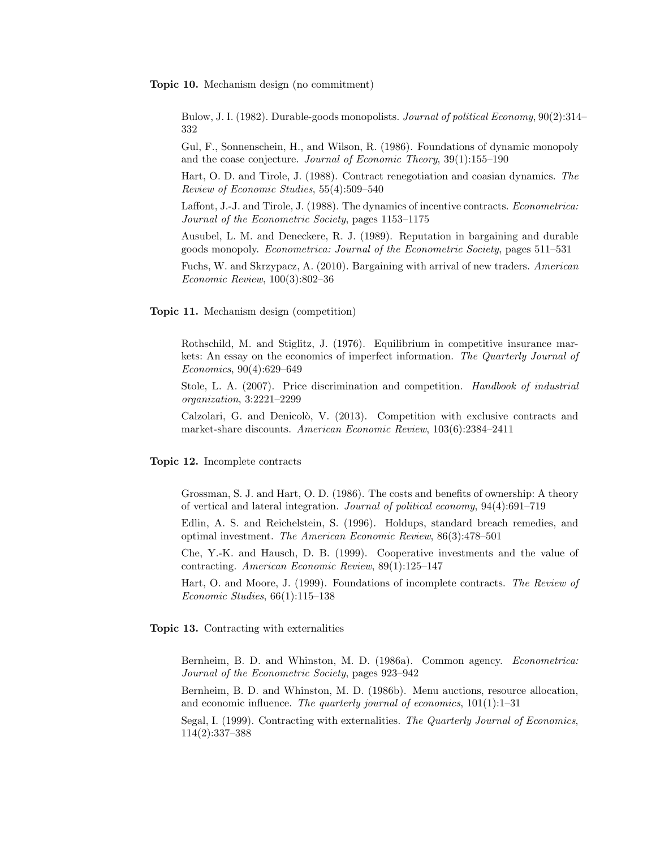Topic 10. Mechanism design (no commitment)

Bulow, J. I. (1982). Durable-goods monopolists. *Journal of political Economy*, 90(2):314– 332

Gul, F., Sonnenschein, H., and Wilson, R. (1986). Foundations of dynamic monopoly and the coase conjecture. Journal of Economic Theory, 39(1):155-190

Hart, O. D. and Tirole, J. (1988). Contract renegotiation and coasian dynamics. The Review of Economic Studies, 55(4):509–540

Laffont, J.-J. and Tirole, J. (1988). The dynamics of incentive contracts. Econometrica: Journal of the Econometric Society, pages 1153–1175

Ausubel, L. M. and Deneckere, R. J. (1989). Reputation in bargaining and durable goods monopoly. Econometrica: Journal of the Econometric Society, pages 511–531

Fuchs, W. and Skrzypacz, A. (2010). Bargaining with arrival of new traders. American Economic Review, 100(3):802–36

Topic 11. Mechanism design (competition)

Rothschild, M. and Stiglitz, J. (1976). Equilibrium in competitive insurance markets: An essay on the economics of imperfect information. The Quarterly Journal of Economics, 90(4):629–649

Stole, L. A. (2007). Price discrimination and competition. Handbook of industrial organization, 3:2221–2299

Calzolari, G. and Denicolò, V. (2013). Competition with exclusive contracts and market-share discounts. American Economic Review, 103(6):2384–2411

Topic 12. Incomplete contracts

Grossman, S. J. and Hart, O. D. (1986). The costs and benefits of ownership: A theory of vertical and lateral integration. Journal of political economy, 94(4):691–719

Edlin, A. S. and Reichelstein, S. (1996). Holdups, standard breach remedies, and optimal investment. The American Economic Review, 86(3):478–501

Che, Y.-K. and Hausch, D. B. (1999). Cooperative investments and the value of contracting. American Economic Review, 89(1):125–147

Hart, O. and Moore, J. (1999). Foundations of incomplete contracts. The Review of Economic Studies, 66(1):115–138

Topic 13. Contracting with externalities

Bernheim, B. D. and Whinston, M. D. (1986a). Common agency. Econometrica: Journal of the Econometric Society, pages 923–942

Bernheim, B. D. and Whinston, M. D. (1986b). Menu auctions, resource allocation, and economic influence. The quarterly journal of economics,  $101(1):1-31$ 

Segal, I. (1999). Contracting with externalities. The Quarterly Journal of Economics, 114(2):337–388